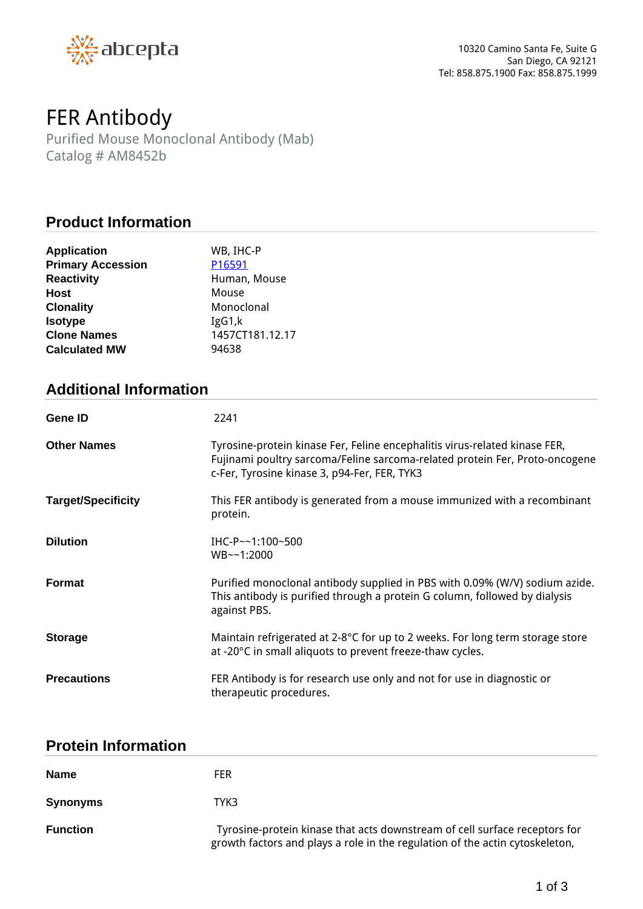

# *FER Antibody*

*Purified Mouse Monoclonal Antibody (Mab) Catalog # AM8452b*

## **Product Information**

| <b>Application</b>       | WB, IHC-P       |
|--------------------------|-----------------|
| <b>Primary Accession</b> | P16591          |
| <b>Reactivity</b>        | Human, Mouse    |
| <b>Host</b>              | Mouse           |
| <b>Clonality</b>         | Monoclonal      |
| <b>Isotype</b>           | IgG1,k          |
| <b>Clone Names</b>       | 1457CT181.12.17 |
| <b>Calculated MW</b>     | 94638           |

# **Additional Information**

| <b>Gene ID</b>            | 2241                                                                                                                                                                                                      |
|---------------------------|-----------------------------------------------------------------------------------------------------------------------------------------------------------------------------------------------------------|
| <b>Other Names</b>        | Tyrosine-protein kinase Fer, Feline encephalitis virus-related kinase FER,<br>Fujinami poultry sarcoma/Feline sarcoma-related protein Fer, Proto-oncogene<br>c-Fer, Tyrosine kinase 3, p94-Fer, FER, TYK3 |
| <b>Target/Specificity</b> | This FER antibody is generated from a mouse immunized with a recombinant<br>protein.                                                                                                                      |
| <b>Dilution</b>           | IHC-P~~1:100~500<br>WB~~1:2000                                                                                                                                                                            |
| <b>Format</b>             | Purified monoclonal antibody supplied in PBS with 0.09% (W/V) sodium azide.<br>This antibody is purified through a protein G column, followed by dialysis<br>against PBS.                                 |
| <b>Storage</b>            | Maintain refrigerated at 2-8°C for up to 2 weeks. For long term storage store<br>at -20°C in small aliquots to prevent freeze-thaw cycles.                                                                |
| <b>Precautions</b>        | FER Antibody is for research use only and not for use in diagnostic or<br>therapeutic procedures.                                                                                                         |

## **Protein Information**

| <b>Name</b>     | <b>FER</b>                                                                                                                                                 |
|-----------------|------------------------------------------------------------------------------------------------------------------------------------------------------------|
| <b>Synonyms</b> | ТҮКЗ                                                                                                                                                       |
| <b>Function</b> | Tyrosine-protein kinase that acts downstream of cell surface receptors for<br>growth factors and plays a role in the regulation of the actin cytoskeleton, |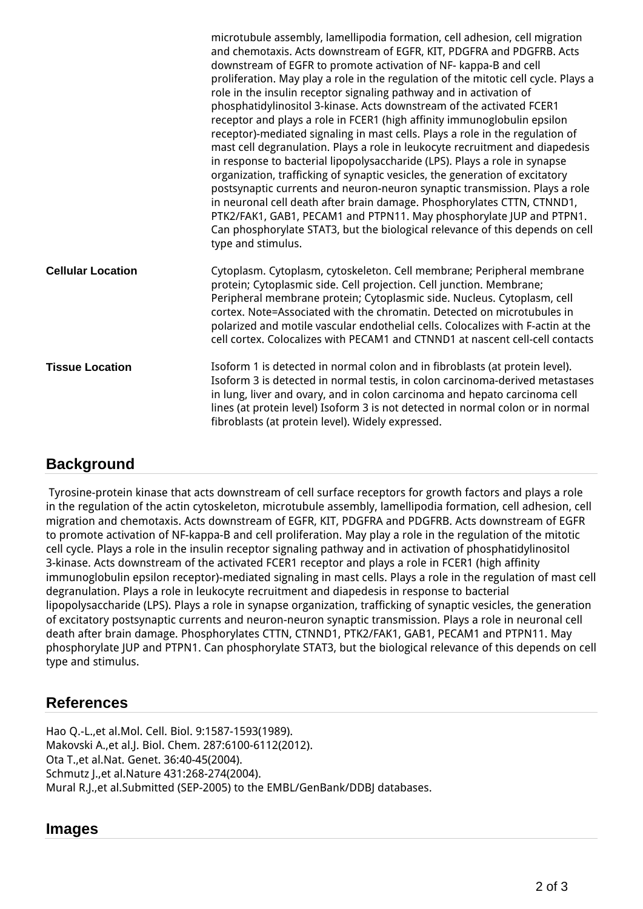|                          | microtubule assembly, lamellipodia formation, cell adhesion, cell migration<br>and chemotaxis. Acts downstream of EGFR, KIT, PDGFRA and PDGFRB. Acts<br>downstream of EGFR to promote activation of NF- kappa-B and cell<br>proliferation. May play a role in the regulation of the mitotic cell cycle. Plays a<br>role in the insulin receptor signaling pathway and in activation of<br>phosphatidylinositol 3-kinase. Acts downstream of the activated FCER1<br>receptor and plays a role in FCER1 (high affinity immunoglobulin epsilon<br>receptor)-mediated signaling in mast cells. Plays a role in the regulation of<br>mast cell degranulation. Plays a role in leukocyte recruitment and diapedesis<br>in response to bacterial lipopolysaccharide (LPS). Plays a role in synapse<br>organization, trafficking of synaptic vesicles, the generation of excitatory<br>postsynaptic currents and neuron-neuron synaptic transmission. Plays a role<br>in neuronal cell death after brain damage. Phosphorylates CTTN, CTNND1,<br>PTK2/FAK1, GAB1, PECAM1 and PTPN11. May phosphorylate JUP and PTPN1.<br>Can phosphorylate STAT3, but the biological relevance of this depends on cell<br>type and stimulus. |
|--------------------------|----------------------------------------------------------------------------------------------------------------------------------------------------------------------------------------------------------------------------------------------------------------------------------------------------------------------------------------------------------------------------------------------------------------------------------------------------------------------------------------------------------------------------------------------------------------------------------------------------------------------------------------------------------------------------------------------------------------------------------------------------------------------------------------------------------------------------------------------------------------------------------------------------------------------------------------------------------------------------------------------------------------------------------------------------------------------------------------------------------------------------------------------------------------------------------------------------------------------|
| <b>Cellular Location</b> | Cytoplasm. Cytoplasm, cytoskeleton. Cell membrane; Peripheral membrane<br>protein; Cytoplasmic side. Cell projection. Cell junction. Membrane;<br>Peripheral membrane protein; Cytoplasmic side. Nucleus. Cytoplasm, cell<br>cortex. Note=Associated with the chromatin. Detected on microtubules in<br>polarized and motile vascular endothelial cells. Colocalizes with F-actin at the<br>cell cortex. Colocalizes with PECAM1 and CTNND1 at nascent cell-cell contacts                                                                                                                                                                                                                                                                                                                                                                                                                                                                                                                                                                                                                                                                                                                                            |
| <b>Tissue Location</b>   | Isoform 1 is detected in normal colon and in fibroblasts (at protein level).<br>Isoform 3 is detected in normal testis, in colon carcinoma-derived metastases<br>in lung, liver and ovary, and in colon carcinoma and hepato carcinoma cell<br>lines (at protein level) Isoform 3 is not detected in normal colon or in normal<br>fibroblasts (at protein level). Widely expressed.                                                                                                                                                                                                                                                                                                                                                                                                                                                                                                                                                                                                                                                                                                                                                                                                                                  |

# **Background**

 *Tyrosine-protein kinase that acts downstream of cell surface receptors for growth factors and plays a role in the regulation of the actin cytoskeleton, microtubule assembly, lamellipodia formation, cell adhesion, cell migration and chemotaxis. Acts downstream of EGFR, KIT, PDGFRA and PDGFRB. Acts downstream of EGFR to promote activation of NF-kappa-B and cell proliferation. May play a role in the regulation of the mitotic cell cycle. Plays a role in the insulin receptor signaling pathway and in activation of phosphatidylinositol 3-kinase. Acts downstream of the activated FCER1 receptor and plays a role in FCER1 (high affinity immunoglobulin epsilon receptor)-mediated signaling in mast cells. Plays a role in the regulation of mast cell degranulation. Plays a role in leukocyte recruitment and diapedesis in response to bacterial lipopolysaccharide (LPS). Plays a role in synapse organization, trafficking of synaptic vesicles, the generation of excitatory postsynaptic currents and neuron-neuron synaptic transmission. Plays a role in neuronal cell death after brain damage. Phosphorylates CTTN, CTNND1, PTK2/FAK1, GAB1, PECAM1 and PTPN11. May phosphorylate JUP and PTPN1. Can phosphorylate STAT3, but the biological relevance of this depends on cell type and stimulus.*

# **References**

*Hao Q.-L.,et al.Mol. Cell. Biol. 9:1587-1593(1989). Makovski A.,et al.J. Biol. Chem. 287:6100-6112(2012). Ota T.,et al.Nat. Genet. 36:40-45(2004). Schmutz J.,et al.Nature 431:268-274(2004). Mural R.J.,et al.Submitted (SEP-2005) to the EMBL/GenBank/DDBJ databases.*

#### **Images**